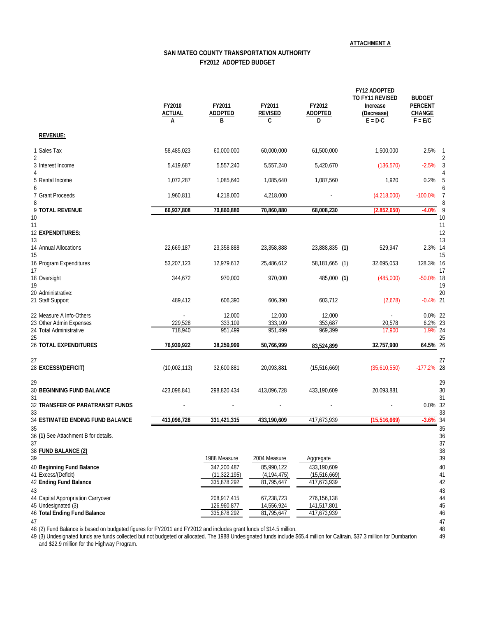**ATTACHMENT A**

## **SAN MATEO COUNTY TRANSPORTATION AUTHORITY FY2012 ADOPTED BUDGET**

|                                                     | FY2010<br>ACTUAL<br>А | FY2011<br><b>ADOPTED</b><br>в | FY2011<br><b>REVISED</b><br>C | FY2012<br><b>ADOPTED</b><br>D | FY12 ADOPTED<br>TO FY11 REVISED<br>Increase<br>(Decrease)<br>$E = D - C$ | <b>BUDGET</b><br><b>PERCENT</b><br>CHANGE<br>$F = E/C$ |
|-----------------------------------------------------|-----------------------|-------------------------------|-------------------------------|-------------------------------|--------------------------------------------------------------------------|--------------------------------------------------------|
| <b>REVENUE:</b>                                     |                       |                               |                               |                               |                                                                          |                                                        |
| 1 Sales Tax<br>$\overline{2}$                       | 58,485,023            | 60,000,000                    | 60,000,000                    | 61,500,000                    | 1,500,000                                                                | 2.5%                                                   |
| 3 Interest Income<br>4                              | 5,419,687             | 5,557,240                     | 5,557,240                     | 5,420,670                     | (136, 570)                                                               | $-2.5%$                                                |
| 5 Rental Income<br>6                                | 1,072,287             | 1,085,640                     | 1,085,640                     | 1,087,560                     | 1,920                                                                    | 0.2%                                                   |
| 7 Grant Proceeds<br>8                               | 1,960,811             | 4,218,000                     | 4,218,000                     |                               | (4,218,000)                                                              | $-100.0%$<br>-7                                        |
| 9 TOTAL REVENUE<br>10                               | 66,937,808            | 70,860,880                    | 70,860,880                    | 68,008,230                    | (2,852,650)                                                              | $-4.0%$<br>10                                          |
| 11<br>12 EXPENDITURES:<br>13                        |                       |                               |                               |                               |                                                                          | 11<br>12<br>13                                         |
| 14 Annual Allocations<br>15                         | 22,669,187            | 23,358,888                    | 23,358,888                    | 23,888,835 (1)                | 529,947                                                                  | 2.3% 14<br>15                                          |
| 16 Program Expenditures<br>17                       | 53,207,123            | 12,979,612                    | 25,486,612                    | 58,181,665 (1)                | 32,695,053                                                               | 128.3% 16<br>17                                        |
| 18 Oversight<br>19                                  | 344,672               | 970,000                       | 970,000                       | 485,000 (1)                   | (485,000)                                                                | $-50.0\%$ 18<br>19                                     |
| 20 Administrative:<br>21 Staff Support              | 489,412               | 606,390                       | 606,390                       | 603,712                       | (2,678)                                                                  | 20<br>$-0.4\%$ 21                                      |
| 22 Measure A Info-Others<br>23 Other Admin Expenses | 229,528               | 12,000<br>333,109             | 12,000<br>333,109             | 12,000<br>353,687             | 20,578                                                                   | 0.0% 22<br>6.2% 23                                     |
| 24 Total Administrative<br>25                       | 718,940               | 951,499                       | 951,499                       | 969,399                       | 17,900                                                                   | 1.9% 24<br>25                                          |
| <b>26 TOTAL EXPENDITURES</b>                        | 76,939,922            | 38,259,999                    | 50,766,999                    | 83,524,899                    | 32,757,900                                                               | 64.5% 26                                               |
| 27<br>28 EXCESS/(DEFICIT)                           | (10,002,113)          | 32,600,881                    | 20,093,881                    | (15,516,669)                  | (35,610,550)                                                             | 27<br>$-177.2%$ 28                                     |
| 29<br><b>30 BEGINNING FUND BALANCE</b><br>31        | 423,098,841           | 298,820,434                   | 413,096,728                   | 433,190,609                   | 20,093,881                                                               | 29<br>30<br>31                                         |
| 32 TRANSFER OF PARATRANSIT FUNDS<br>33              |                       |                               |                               |                               |                                                                          | 0.0% 32<br>33                                          |
| 34 ESTIMATED ENDING FUND BALANCE                    | 413,096,728           | 331,421,315                   | 433,190,609                   | 417,673,939                   | (15,516,669)                                                             | $-3.6\%$ 34                                            |
| 35<br>36 (1) See Attachment B for details.<br>37    |                       |                               |                               |                               |                                                                          | 35<br>36<br>37                                         |
| 38 FUND BALANCE (2)<br>39                           |                       | 1988 Measure                  | 2004 Measure                  | Aggregate                     |                                                                          | 38<br>39                                               |
| 40 Beginning Fund Balance                           |                       | 347,200,487                   | 85,990,122                    | 433,190,609                   |                                                                          | 40                                                     |
| 41 Excess/(Deficit)<br>42 Ending Fund Balance       |                       | (11, 322, 195)<br>335,878,292 | (4, 194, 475)<br>81,795,647   | (15,516,669)<br>417,673,939   |                                                                          | 41<br>42                                               |
| 43<br>44 Capital Appropriation Carryover            |                       | 208,917,415                   | 67,238,723                    | 276,156,138                   |                                                                          | 43<br>44                                               |
| 45 Undesignated (3)                                 |                       | 126,960,877                   | 14,556,924                    | 141,517,801                   |                                                                          | 45                                                     |
| 46 Total Ending Fund Balance                        |                       | 335,878,292                   | 81,795,647                    | 417,673,939                   |                                                                          | 46<br>47                                               |
| 47                                                  |                       |                               |                               |                               |                                                                          |                                                        |

48 (2) Fund Balance is based on budgeted figures for FY2011 and FY2012 and includes grant funds of \$14.5 million. 48

49 (3) Undesignated funds are funds collected but not budgeted or allocated. The 1988 Undesignated funds include \$65.4 million for Caltrain, \$37.3 million for Dumbarton 49 and \$22.9 million for the Highway Program.